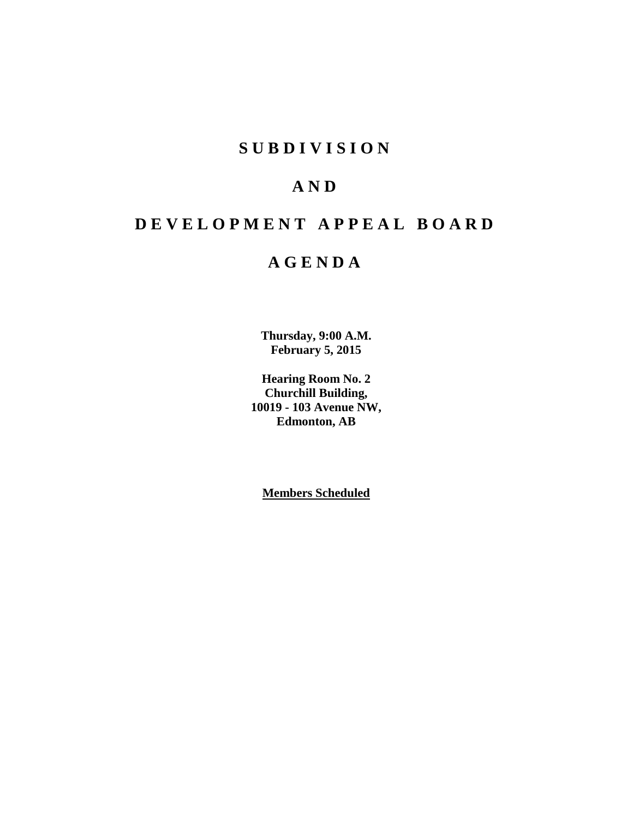# **S U B D I V I S I O N**

# **A N D**

# **D E V E L O P M E N T A P P E A L B O A R D**

# **A G E N D A**

**Thursday, 9:00 A.M. February 5, 2015**

**Hearing Room No. 2 Churchill Building, 10019 - 103 Avenue NW, Edmonton, AB**

**Members Scheduled**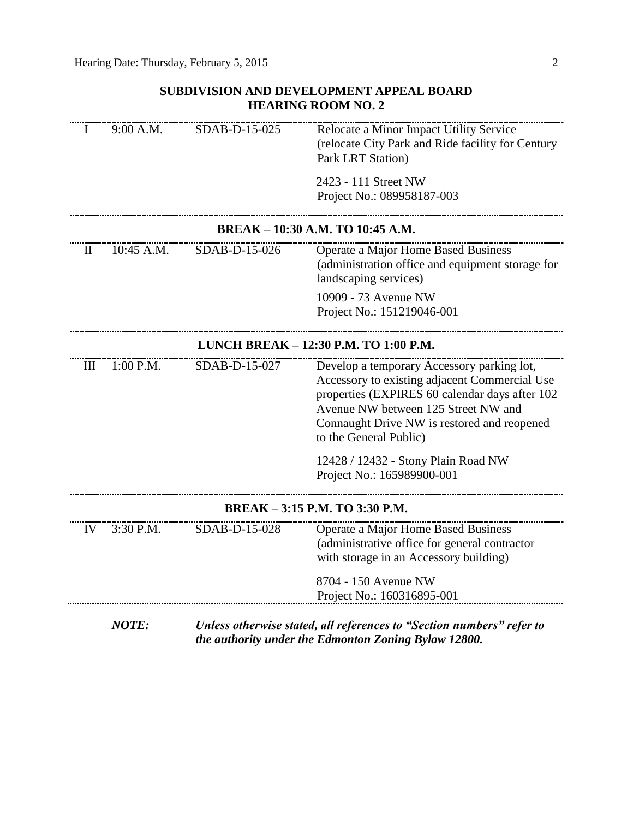## **SUBDIVISION AND DEVELOPMENT APPEAL BOARD HEARING ROOM NO. 2**

| I                                     | 9:00 A.M.    | SDAB-D-15-025 | Relocate a Minor Impact Utility Service<br>(relocate City Park and Ride facility for Century<br>Park LRT Station)                                                                                                                                             |
|---------------------------------------|--------------|---------------|---------------------------------------------------------------------------------------------------------------------------------------------------------------------------------------------------------------------------------------------------------------|
|                                       |              |               | 2423 - 111 Street NW<br>Project No.: 089958187-003                                                                                                                                                                                                            |
|                                       |              |               | BREAK - 10:30 A.M. TO 10:45 A.M.                                                                                                                                                                                                                              |
| $\mathbf{I}$                          | 10:45 A.M.   | SDAB-D-15-026 | Operate a Major Home Based Business<br>(administration office and equipment storage for<br>landscaping services)                                                                                                                                              |
|                                       |              |               | 10909 - 73 Avenue NW<br>Project No.: 151219046-001                                                                                                                                                                                                            |
| LUNCH BREAK - 12:30 P.M. TO 1:00 P.M. |              |               |                                                                                                                                                                                                                                                               |
| III                                   | 1:00 P.M.    | SDAB-D-15-027 | Develop a temporary Accessory parking lot,<br>Accessory to existing adjacent Commercial Use<br>properties (EXPIRES 60 calendar days after 102<br>Avenue NW between 125 Street NW and<br>Connaught Drive NW is restored and reopened<br>to the General Public) |
|                                       |              |               | 12428 / 12432 - Stony Plain Road NW<br>Project No.: 165989900-001                                                                                                                                                                                             |
| BREAK - 3:15 P.M. TO 3:30 P.M.        |              |               |                                                                                                                                                                                                                                                               |
| IV                                    | 3:30 P.M.    | SDAB-D-15-028 | Operate a Major Home Based Business<br>(administrative office for general contractor<br>with storage in an Accessory building)                                                                                                                                |
|                                       |              |               | 8704 - 150 Avenue NW<br>Project No.: 160316895-001                                                                                                                                                                                                            |
|                                       | <b>NOTE:</b> |               | Unless otherwise stated, all references to "Section numbers" refer to<br>the authority under the Edmonton Zoning Bylaw 12800.                                                                                                                                 |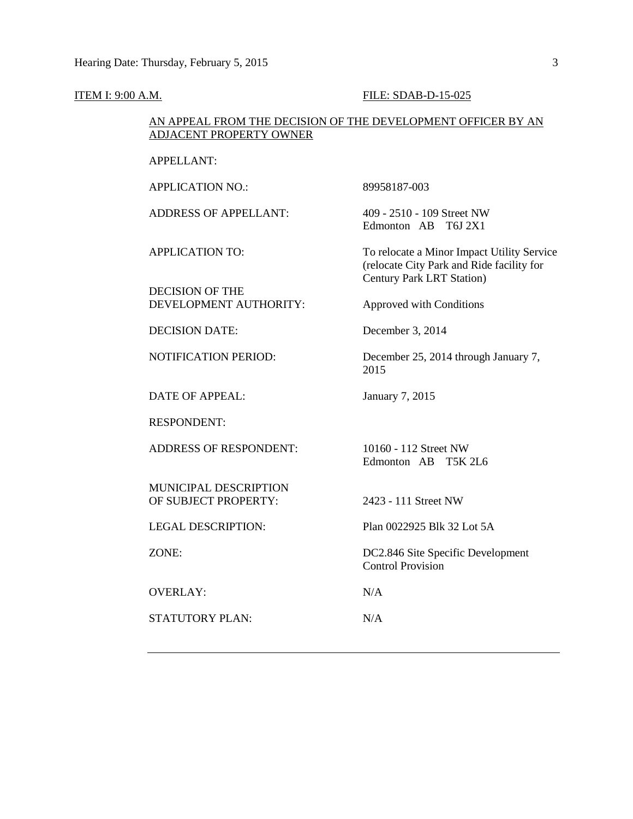#### **ITEM I: 9:00 A.M. FILE: SDAB-D-15-025**

## AN APPEAL FROM THE DECISION OF THE DEVELOPMENT OFFICER BY AN ADJACENT PROPERTY OWNER

APPELLANT:

APPLICATION NO.: 89958187-003

ADDRESS OF APPELLANT: 409 - 2510 - 109 Street NW

DECISION OF THE DEVELOPMENT AUTHORITY: Approved with Conditions

DECISION DATE: December 3, 2014

DATE OF APPEAL: January 7, 2015

RESPONDENT:

ADDRESS OF RESPONDENT: 10160 - 112 Street NW

MUNICIPAL DESCRIPTION OF SUBJECT PROPERTY: 2423 - 111 Street NW

OVERLAY: N/A

STATUTORY PLAN: N/A

Edmonton AB T6J 2X1

APPLICATION TO: To relocate a Minor Impact Utility Service (relocate City Park and Ride facility for Century Park LRT Station)

NOTIFICATION PERIOD: December 25, 2014 through January 7, 2015

Edmonton AB T5K 2L6

LEGAL DESCRIPTION: Plan 0022925 Blk 32 Lot 5A

ZONE: DC2.846 Site Specific Development Control Provision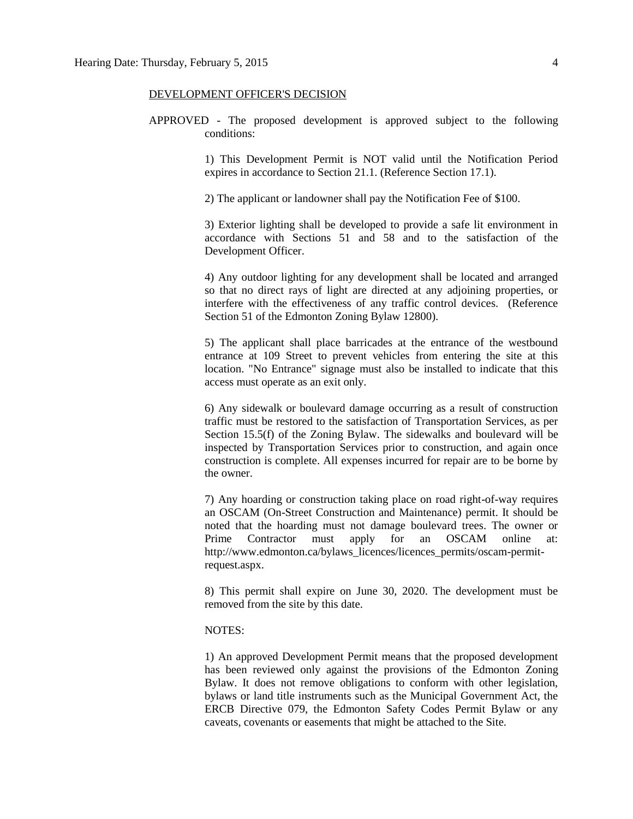### DEVELOPMENT OFFICER'S DECISION

APPROVED - The proposed development is approved subject to the following conditions:

> 1) This Development Permit is NOT valid until the Notification Period expires in accordance to Section 21.1. (Reference Section 17.1).

2) The applicant or landowner shall pay the Notification Fee of \$100.

3) Exterior lighting shall be developed to provide a safe lit environment in accordance with Sections 51 and 58 and to the satisfaction of the Development Officer.

4) Any outdoor lighting for any development shall be located and arranged so that no direct rays of light are directed at any adjoining properties, or interfere with the effectiveness of any traffic control devices. (Reference Section 51 of the Edmonton Zoning Bylaw 12800).

5) The applicant shall place barricades at the entrance of the westbound entrance at 109 Street to prevent vehicles from entering the site at this location. "No Entrance" signage must also be installed to indicate that this access must operate as an exit only.

6) Any sidewalk or boulevard damage occurring as a result of construction traffic must be restored to the satisfaction of Transportation Services, as per Section 15.5(f) of the Zoning Bylaw. The sidewalks and boulevard will be inspected by Transportation Services prior to construction, and again once construction is complete. All expenses incurred for repair are to be borne by the owner.

7) Any hoarding or construction taking place on road right-of-way requires an OSCAM (On-Street Construction and Maintenance) permit. It should be noted that the hoarding must not damage boulevard trees. The owner or Prime Contractor must apply for an OSCAM online at: http://www.edmonton.ca/bylaws\_licences/licences\_permits/oscam-permitrequest.aspx.

8) This permit shall expire on June 30, 2020. The development must be removed from the site by this date.

## NOTES:

1) An approved Development Permit means that the proposed development has been reviewed only against the provisions of the Edmonton Zoning Bylaw. It does not remove obligations to conform with other legislation, bylaws or land title instruments such as the Municipal Government Act, the ERCB Directive 079, the Edmonton Safety Codes Permit Bylaw or any caveats, covenants or easements that might be attached to the Site.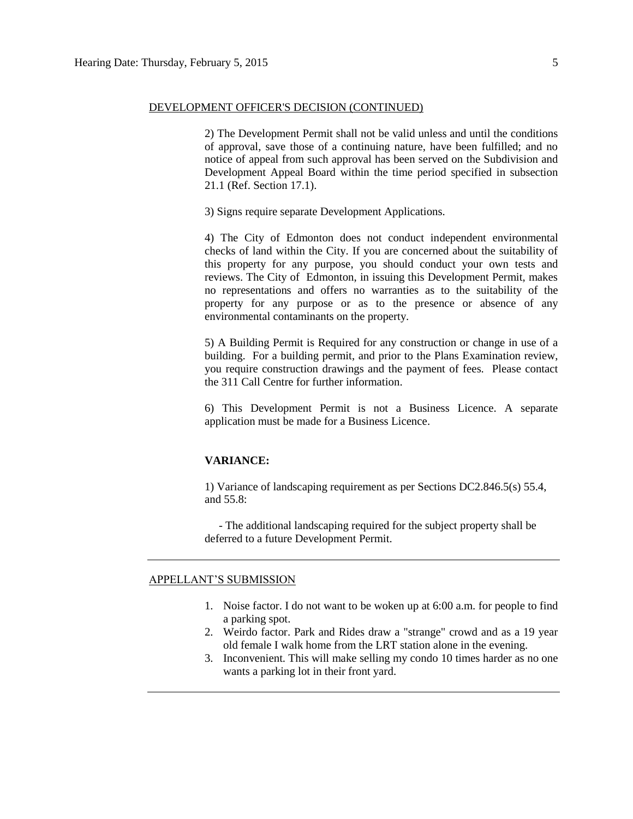## DEVELOPMENT OFFICER'S DECISION (CONTINUED)

2) The Development Permit shall not be valid unless and until the conditions of approval, save those of a continuing nature, have been fulfilled; and no notice of appeal from such approval has been served on the Subdivision and Development Appeal Board within the time period specified in subsection 21.1 (Ref. Section 17.1).

3) Signs require separate Development Applications.

4) The City of Edmonton does not conduct independent environmental checks of land within the City. If you are concerned about the suitability of this property for any purpose, you should conduct your own tests and reviews. The City of Edmonton, in issuing this Development Permit, makes no representations and offers no warranties as to the suitability of the property for any purpose or as to the presence or absence of any environmental contaminants on the property.

5) A Building Permit is Required for any construction or change in use of a building. For a building permit, and prior to the Plans Examination review, you require construction drawings and the payment of fees. Please contact the 311 Call Centre for further information.

6) This Development Permit is not a Business Licence. A separate application must be made for a Business Licence.

## **VARIANCE:**

1) Variance of landscaping requirement as per Sections DC2.846.5(s) 55.4, and 55.8:

 - The additional landscaping required for the subject property shall be deferred to a future Development Permit.

## APPELLANT'S SUBMISSION

- 1. Noise factor. I do not want to be woken up at 6:00 a.m. for people to find a parking spot.
- 2. Weirdo factor. Park and Rides draw a "strange" crowd and as a 19 year old female I walk home from the LRT station alone in the evening.
- 3. Inconvenient. This will make selling my condo 10 times harder as no one wants a parking lot in their front yard.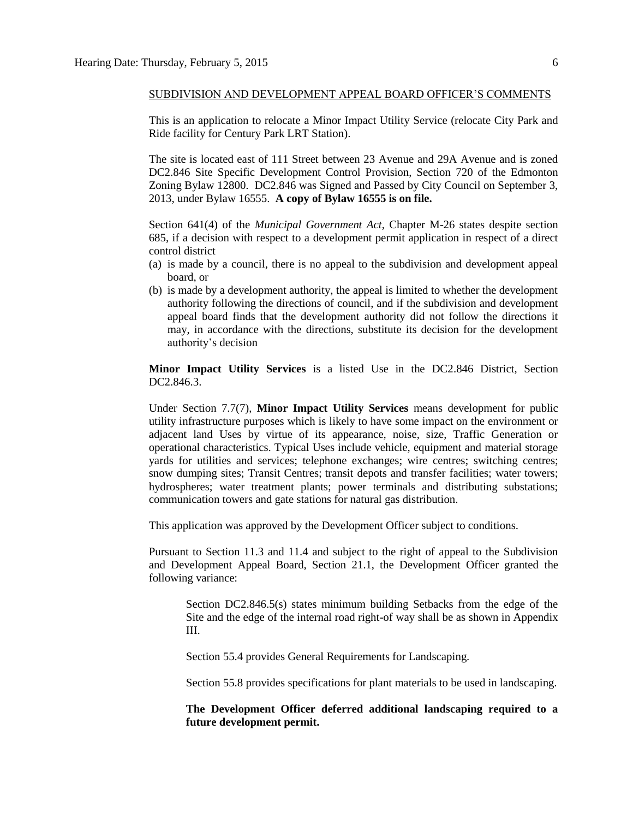This is an application to relocate a Minor Impact Utility Service (relocate City Park and Ride facility for Century Park LRT Station).

The site is located east of 111 Street between 23 Avenue and 29A Avenue and is zoned DC2.846 Site Specific Development Control Provision, Section 720 of the Edmonton Zoning Bylaw 12800. DC2.846 was Signed and Passed by City Council on September 3, 2013, under Bylaw 16555. **A copy of Bylaw 16555 is on file.**

Section 641(4) of the *Municipal Government Act*, Chapter M-26 states despite section 685, if a decision with respect to a development permit application in respect of a direct control district

- (a) is made by a council, there is no appeal to the subdivision and development appeal board, or
- (b) is made by a development authority, the appeal is limited to whether the development authority following the directions of council, and if the subdivision and development appeal board finds that the development authority did not follow the directions it may, in accordance with the directions, substitute its decision for the development authority's decision

**Minor Impact Utility Services** is a listed Use in the DC2.846 District, Section DC2.846.3.

Under Section 7.7(7), **Minor Impact Utility Services** means development for public utility infrastructure purposes which is likely to have some impact on the environment or adjacent land Uses by virtue of its appearance, noise, size, Traffic Generation or operational characteristics. Typical Uses include vehicle, equipment and material storage yards for utilities and services; telephone exchanges; wire centres; switching centres; snow dumping sites; Transit Centres; transit depots and transfer facilities; water towers; hydrospheres; water treatment plants; power terminals and distributing substations; communication towers and gate stations for natural gas distribution.

This application was approved by the Development Officer subject to conditions.

Pursuant to Section 11.3 and 11.4 and subject to the right of appeal to the Subdivision and Development Appeal Board, Section 21.1, the Development Officer granted the following variance:

Section DC2.846.5(s) states minimum building Setbacks from the edge of the Site and the edge of the internal road right-of way shall be as shown in Appendix III.

Section 55.4 provides General Requirements for Landscaping.

Section 55.8 provides specifications for plant materials to be used in landscaping.

**The Development Officer deferred additional landscaping required to a future development permit.**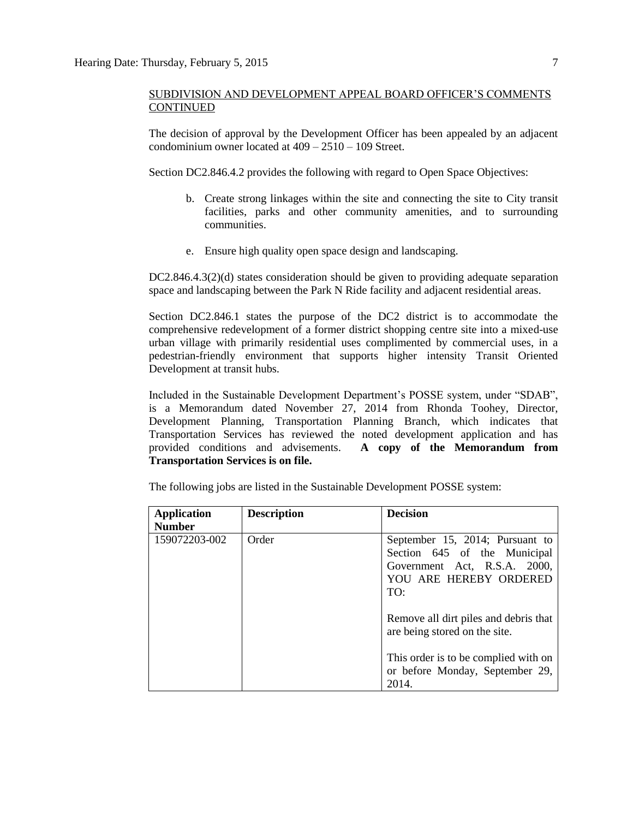The decision of approval by the Development Officer has been appealed by an adjacent condominium owner located at 409 – 2510 – 109 Street.

Section DC2.846.4.2 provides the following with regard to Open Space Objectives:

- b. Create strong linkages within the site and connecting the site to City transit facilities, parks and other community amenities, and to surrounding communities.
- e. Ensure high quality open space design and landscaping.

DC2.846.4.3(2)(d) states consideration should be given to providing adequate separation space and landscaping between the Park N Ride facility and adjacent residential areas.

Section DC2.846.1 states the purpose of the DC2 district is to accommodate the comprehensive redevelopment of a former district shopping centre site into a mixed-use urban village with primarily residential uses complimented by commercial uses, in a pedestrian-friendly environment that supports higher intensity Transit Oriented Development at transit hubs.

Included in the Sustainable Development Department's POSSE system, under "SDAB", is a Memorandum dated November 27, 2014 from Rhonda Toohey, Director, Development Planning, Transportation Planning Branch, which indicates that Transportation Services has reviewed the noted development application and has provided conditions and advisements. **A copy of the Memorandum from Transportation Services is on file.**

| <b>Application</b><br><b>Number</b> | <b>Description</b> | <b>Decision</b>                                                                                                                  |
|-------------------------------------|--------------------|----------------------------------------------------------------------------------------------------------------------------------|
| 159072203-002                       | Order              | September 15, 2014; Pursuant to<br>Section 645 of the Municipal<br>Government Act, R.S.A. 2000,<br>YOU ARE HEREBY ORDERED<br>TO: |
|                                     |                    | Remove all dirt piles and debris that<br>are being stored on the site.                                                           |
|                                     |                    | This order is to be complied with on<br>or before Monday, September 29,<br>2014.                                                 |

The following jobs are listed in the Sustainable Development POSSE system: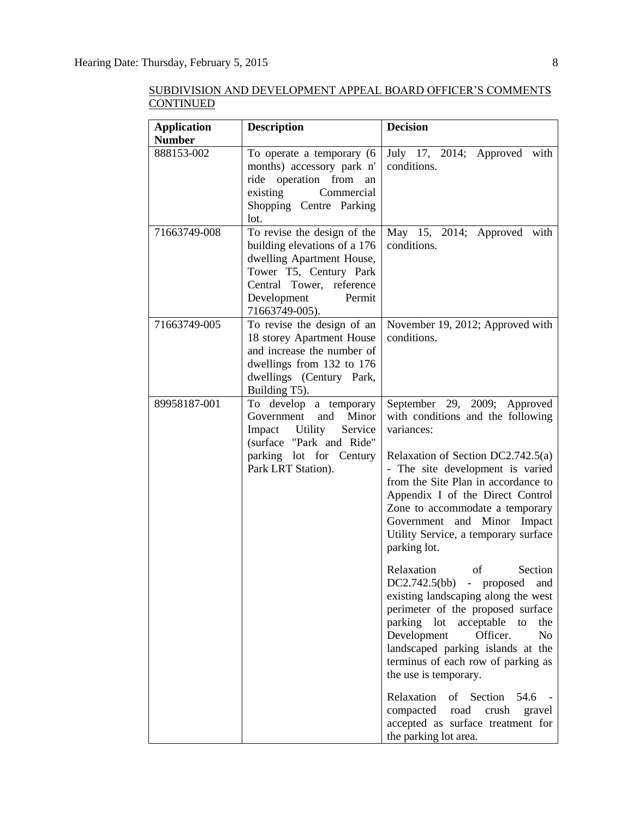| <b>Application</b> | <b>Description</b>                                                                                                                                              | <b>Decision</b>                                                                                                                                                                                                                                                                                                                 |
|--------------------|-----------------------------------------------------------------------------------------------------------------------------------------------------------------|---------------------------------------------------------------------------------------------------------------------------------------------------------------------------------------------------------------------------------------------------------------------------------------------------------------------------------|
| <b>Number</b>      |                                                                                                                                                                 |                                                                                                                                                                                                                                                                                                                                 |
| 888153-002         | To operate a temporary (6<br>months) accessory park n'                                                                                                          | July 17, 2014; Approved with<br>conditions.                                                                                                                                                                                                                                                                                     |
|                    | ride operation from<br>an                                                                                                                                       |                                                                                                                                                                                                                                                                                                                                 |
|                    | Commercial<br>existing                                                                                                                                          |                                                                                                                                                                                                                                                                                                                                 |
|                    | Shopping Centre Parking                                                                                                                                         |                                                                                                                                                                                                                                                                                                                                 |
|                    | lot.                                                                                                                                                            |                                                                                                                                                                                                                                                                                                                                 |
| 71663749-008       | To revise the design of the<br>building elevations of a 176<br>dwelling Apartment House,<br>Tower T5, Century Park<br>Central Tower, reference                  | May 15, 2014; Approved<br>with<br>conditions.                                                                                                                                                                                                                                                                                   |
|                    | Development<br>Permit<br>71663749-005).                                                                                                                         |                                                                                                                                                                                                                                                                                                                                 |
| 71663749-005       | To revise the design of an<br>18 storey Apartment House<br>and increase the number of<br>dwellings from 132 to 176<br>dwellings (Century Park,<br>Building T5). | November 19, 2012; Approved with<br>conditions.                                                                                                                                                                                                                                                                                 |
| 89958187-001       | To develop a temporary                                                                                                                                          | September 29, 2009; Approved                                                                                                                                                                                                                                                                                                    |
|                    | and Minor<br>Government<br>Impact Utility<br>Service<br>(surface "Park and Ride"                                                                                | with conditions and the following<br>variances:                                                                                                                                                                                                                                                                                 |
|                    | parking lot for Century<br>Park LRT Station).                                                                                                                   | Relaxation of Section DC2.742.5(a)<br>- The site development is varied<br>from the Site Plan in accordance to<br>Appendix I of the Direct Control<br>Zone to accommodate a temporary<br>Government and Minor Impact<br>Utility Service, a temporary surface<br>parking lot.                                                     |
|                    |                                                                                                                                                                 | Relaxation of<br>Section<br>DC2.742.5(bb) - proposed and<br>existing landscaping along the west<br>perimeter of the proposed surface<br>parking lot<br>acceptable<br>the<br>to<br>Development<br>N <sub>o</sub><br>Officer.<br>landscaped parking islands at the<br>terminus of each row of parking as<br>the use is temporary. |
|                    |                                                                                                                                                                 | Relaxation<br>of<br>Section<br>54.6<br>compacted<br>crush<br>road<br>gravel<br>accepted as surface treatment for<br>the parking lot area.                                                                                                                                                                                       |

SUBDIVISION AND DEVELOPMENT APPEAL BOARD OFFICER'S COMMENTS CONTINUED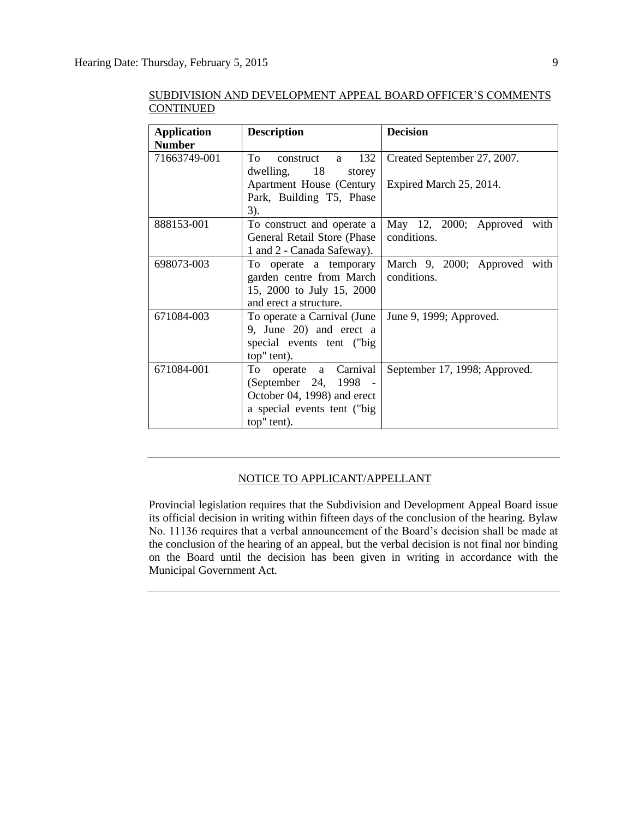| <b>Application</b> | <b>Description</b>           | <b>Decision</b>               |
|--------------------|------------------------------|-------------------------------|
| <b>Number</b>      |                              |                               |
| 71663749-001       | To<br>construct a 132        | Created September 27, 2007.   |
|                    | $dwelling,$ 18<br>storey     |                               |
|                    | Apartment House (Century     | Expired March 25, 2014.       |
|                    | Park, Building T5, Phase     |                               |
|                    | $3)$ .                       |                               |
| 888153-001         | To construct and operate a   | May 12, 2000; Approved with   |
|                    | General Retail Store (Phase) | conditions.                   |
|                    | 1 and 2 - Canada Safeway).   |                               |
| 698073-003         | To operate a temporary       | March 9, 2000; Approved with  |
|                    | garden centre from March     | conditions.                   |
|                    | 15, 2000 to July 15, 2000    |                               |
|                    | and erect a structure.       |                               |
| 671084-003         | To operate a Carnival (June  | June 9, 1999; Approved.       |
|                    | 9, June 20) and erect a      |                               |
|                    | special events tent ("big    |                               |
|                    | top" tent).                  |                               |
| 671084-001         | To operate a Carnival        | September 17, 1998; Approved. |
|                    | (September 24, 1998 -        |                               |
|                    | October 04, 1998) and erect  |                               |
|                    | a special events tent ("big  |                               |
|                    | top" tent).                  |                               |

SUBDIVISION AND DEVELOPMENT APPEAL BOARD OFFICER'S COMMENTS CONTINUED

## NOTICE TO APPLICANT/APPELLANT

Provincial legislation requires that the Subdivision and Development Appeal Board issue its official decision in writing within fifteen days of the conclusion of the hearing. Bylaw No. 11136 requires that a verbal announcement of the Board's decision shall be made at the conclusion of the hearing of an appeal, but the verbal decision is not final nor binding on the Board until the decision has been given in writing in accordance with the Municipal Government Act.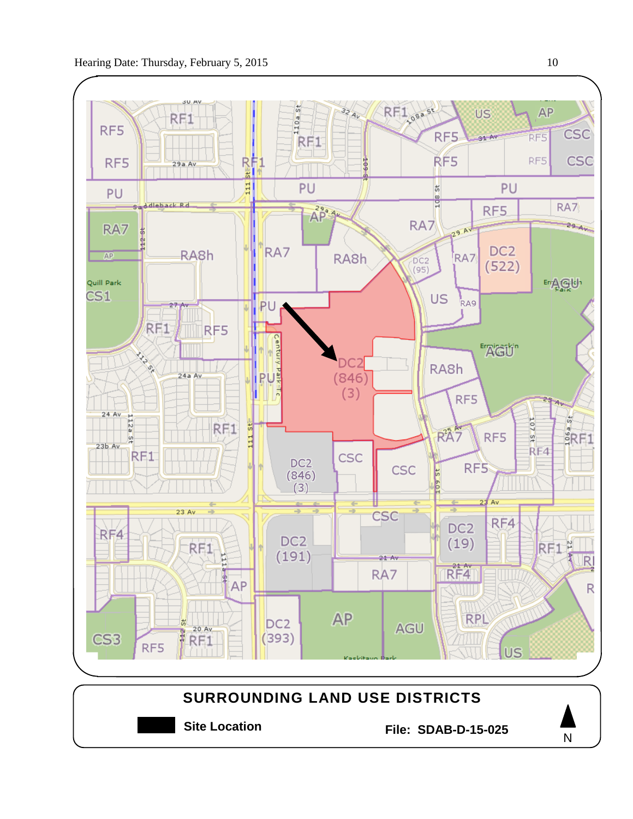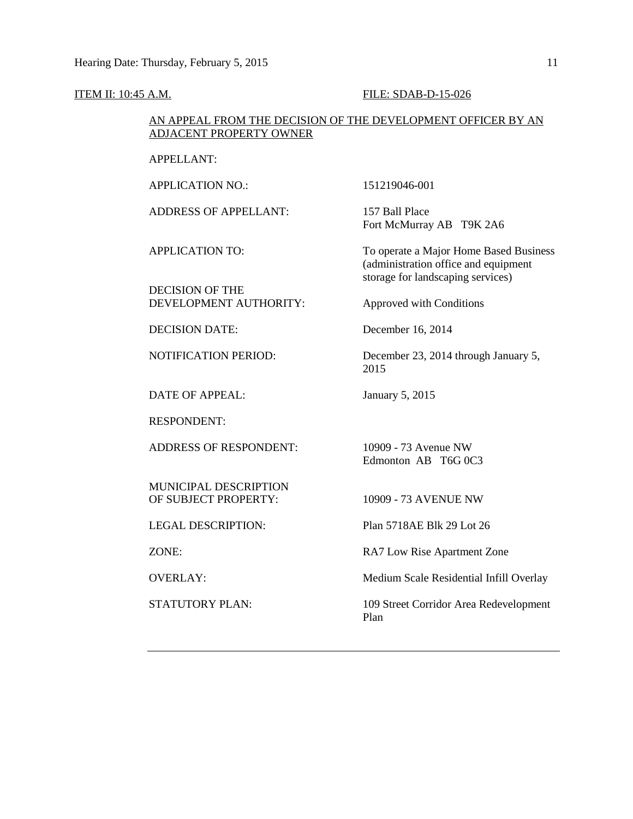#### ITEM II: 10:45 A.M. FILE: SDAB-D-15-026

## AN APPEAL FROM THE DECISION OF THE DEVELOPMENT OFFICER BY AN ADJACENT PROPERTY OWNER

APPELLANT:

APPLICATION NO.: 151219046-001

ADDRESS OF APPELLANT: 157 Ball Place

DECISION OF THE DEVELOPMENT AUTHORITY: Approved with Conditions

DATE OF APPEAL: January 5, 2015

RESPONDENT:

ADDRESS OF RESPONDENT: 10909 - 73 Avenue NW

MUNICIPAL DESCRIPTION OF SUBJECT PROPERTY: 10909 - 73 AVENUE NW

Fort McMurray AB T9K 2A6

APPLICATION TO: To operate a Major Home Based Business (administration office and equipment storage for landscaping services)

DECISION DATE: December 16, 2014

NOTIFICATION PERIOD: December 23, 2014 through January 5, 2015

Edmonton AB T6G 0C3

LEGAL DESCRIPTION: Plan 5718AE Blk 29 Lot 26

ZONE: RA7 Low Rise Apartment Zone

OVERLAY: Medium Scale Residential Infill Overlay

STATUTORY PLAN: 109 Street Corridor Area Redevelopment Plan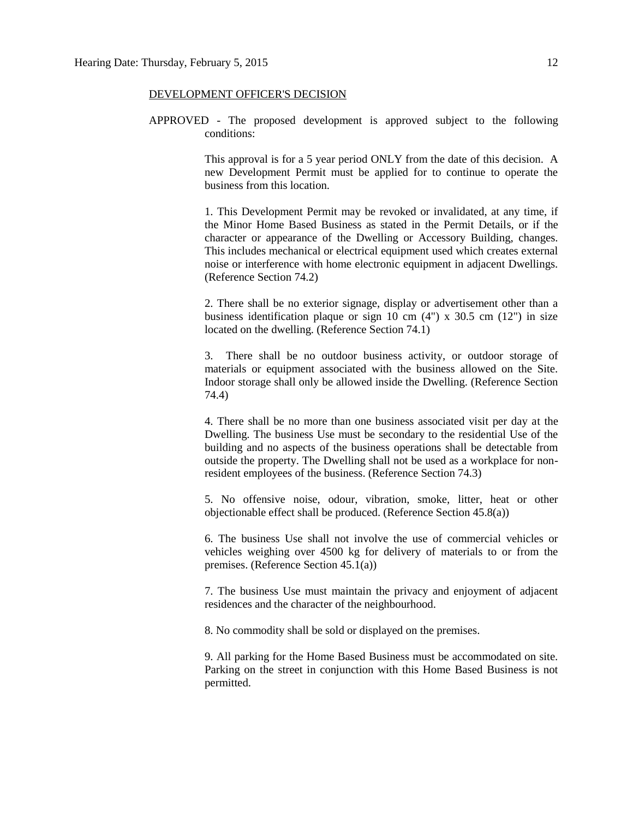## DEVELOPMENT OFFICER'S DECISION

APPROVED - The proposed development is approved subject to the following conditions:

> This approval is for a 5 year period ONLY from the date of this decision. A new Development Permit must be applied for to continue to operate the business from this location.

> 1. This Development Permit may be revoked or invalidated, at any time, if the Minor Home Based Business as stated in the Permit Details, or if the character or appearance of the Dwelling or Accessory Building, changes. This includes mechanical or electrical equipment used which creates external noise or interference with home electronic equipment in adjacent Dwellings. (Reference Section 74.2)

> 2. There shall be no exterior signage, display or advertisement other than a business identification plaque or sign 10 cm  $(4")$  x 30.5 cm  $(12")$  in size located on the dwelling. (Reference Section 74.1)

> 3. There shall be no outdoor business activity, or outdoor storage of materials or equipment associated with the business allowed on the Site. Indoor storage shall only be allowed inside the Dwelling. (Reference Section 74.4)

> 4. There shall be no more than one business associated visit per day at the Dwelling. The business Use must be secondary to the residential Use of the building and no aspects of the business operations shall be detectable from outside the property. The Dwelling shall not be used as a workplace for nonresident employees of the business. (Reference Section 74.3)

> 5. No offensive noise, odour, vibration, smoke, litter, heat or other objectionable effect shall be produced. (Reference Section 45.8(a))

> 6. The business Use shall not involve the use of commercial vehicles or vehicles weighing over 4500 kg for delivery of materials to or from the premises. (Reference Section 45.1(a))

> 7. The business Use must maintain the privacy and enjoyment of adjacent residences and the character of the neighbourhood.

8. No commodity shall be sold or displayed on the premises.

9. All parking for the Home Based Business must be accommodated on site. Parking on the street in conjunction with this Home Based Business is not permitted.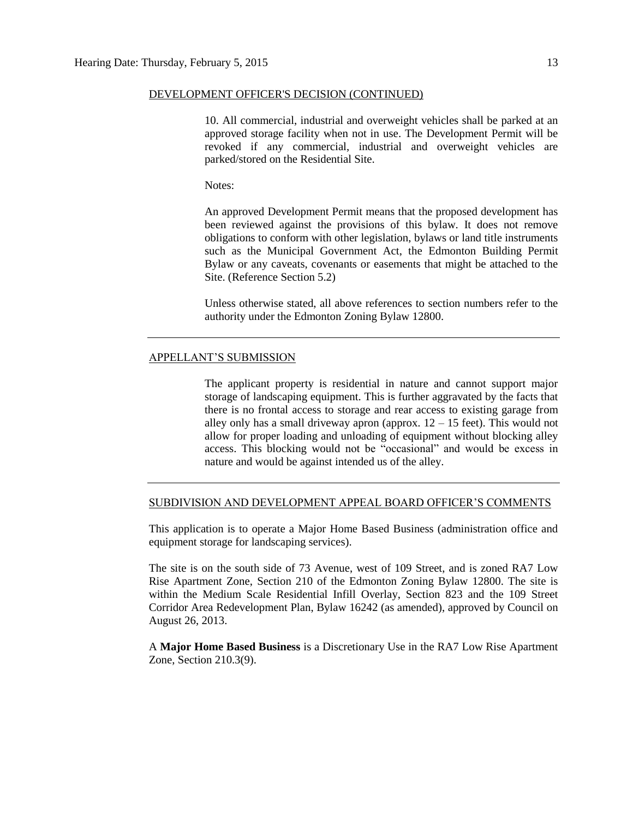## DEVELOPMENT OFFICER'S DECISION (CONTINUED)

10. All commercial, industrial and overweight vehicles shall be parked at an approved storage facility when not in use. The Development Permit will be revoked if any commercial, industrial and overweight vehicles are parked/stored on the Residential Site.

Notes:

An approved Development Permit means that the proposed development has been reviewed against the provisions of this bylaw. It does not remove obligations to conform with other legislation, bylaws or land title instruments such as the Municipal Government Act, the Edmonton Building Permit Bylaw or any caveats, covenants or easements that might be attached to the Site. (Reference Section 5.2)

Unless otherwise stated, all above references to section numbers refer to the authority under the Edmonton Zoning Bylaw 12800.

## APPELLANT'S SUBMISSION

The applicant property is residential in nature and cannot support major storage of landscaping equipment. This is further aggravated by the facts that there is no frontal access to storage and rear access to existing garage from alley only has a small driveway apron (approx.  $12 - 15$  feet). This would not allow for proper loading and unloading of equipment without blocking alley access. This blocking would not be "occasional" and would be excess in nature and would be against intended us of the alley.

### SUBDIVISION AND DEVELOPMENT APPEAL BOARD OFFICER'S COMMENTS

This application is to operate a Major Home Based Business (administration office and equipment storage for landscaping services).

The site is on the south side of 73 Avenue, west of 109 Street, and is zoned RA7 Low Rise Apartment Zone, Section 210 of the Edmonton Zoning Bylaw 12800. The site is within the Medium Scale Residential Infill Overlay, Section 823 and the 109 Street Corridor Area Redevelopment Plan, Bylaw 16242 (as amended), approved by Council on August 26, 2013.

A **Major Home Based Business** is a Discretionary Use in the RA7 Low Rise Apartment Zone, Section 210.3(9).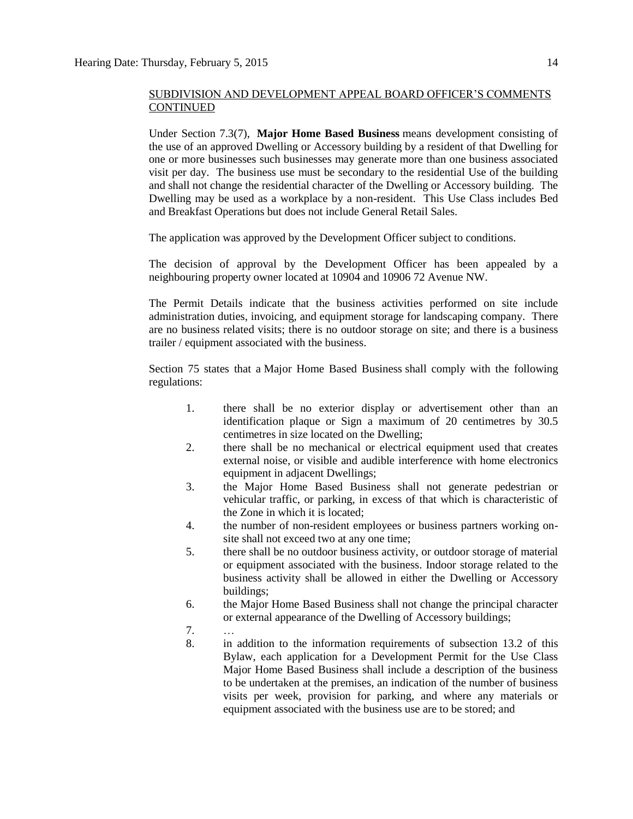Under Section 7.3(7), **Major Home Based Business** means development consisting of the use of an approved Dwelling or Accessory building by a resident of that Dwelling for one or more businesses such businesses may generate more than one business associated visit per day. The business use must be secondary to the residential Use of the building and shall not change the residential character of the Dwelling or Accessory building. The Dwelling may be used as a workplace by a non-resident. This Use Class includes Bed and Breakfast Operations but does not include General Retail Sales.

The application was approved by the Development Officer subject to conditions.

The decision of approval by the Development Officer has been appealed by a neighbouring property owner located at 10904 and 10906 72 Avenue NW.

The Permit Details indicate that the business activities performed on site include administration duties, invoicing, and equipment storage for landscaping company. There are no business related visits; there is no outdoor storage on site; and there is a business trailer / equipment associated with the business.

Section 75 states that a [Major Home Based Business](javascript:void(0);) shall comply with the following regulations:

- 1. there shall be no exterior display or advertisement other than an identification plaque or Sign a maximum of 20 centimetres by 30.5 centimetres in size located on the Dwelling;
- 2. there shall be no mechanical or electrical equipment used that creates external noise, or visible and audible interference with home electronics equipment in adjacent Dwellings;
- 3. the Major Home Based Business shall not generate pedestrian or vehicular traffic, or parking, in excess of that which is characteristic of the Zone in which it is located;
- 4. the number of non-resident employees or business partners working onsite shall not exceed two at any one time;
- 5. there shall be no outdoor business activity, or outdoor storage of material or equipment associated with the business. Indoor storage related to the business activity shall be allowed in either the Dwelling or Accessory buildings;
- 6. the Major Home Based Business shall not change the principal character or external appearance of the Dwelling of Accessory buildings;
- 7. …
- 8. in addition to the information requirements of subsection 13.2 of this Bylaw, each application for a Development Permit for the Use Class Major Home Based Business shall include a description of the business to be undertaken at the premises, an indication of the number of business visits per week, provision for parking, and where any materials or equipment associated with the business use are to be stored; and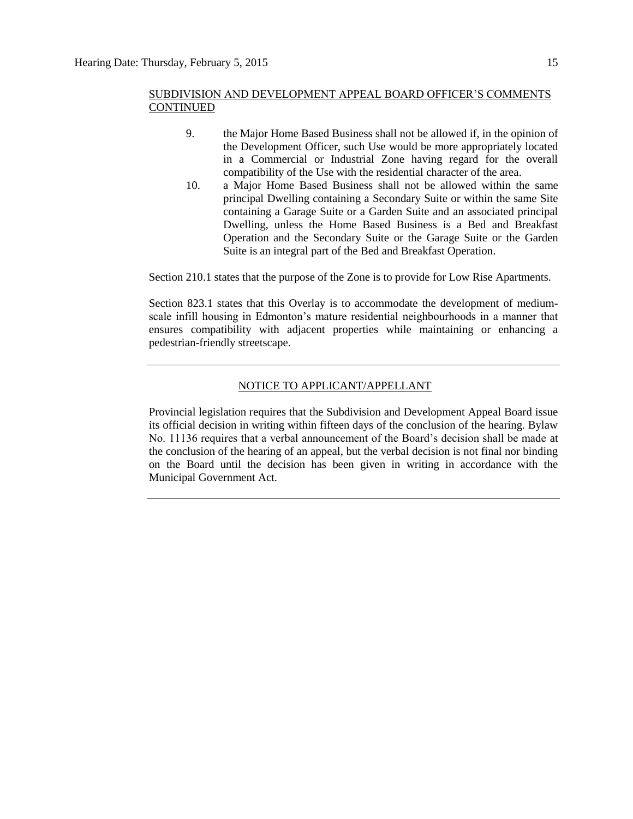- 9. the Major Home Based Business shall not be allowed if, in the opinion of the Development Officer, such Use would be more appropriately located in a Commercial or Industrial Zone having regard for the overall compatibility of the Use with the residential character of the area.
- 10. a Major Home Based Business shall not be allowed within the same principal Dwelling containing a Secondary Suite or within the same Site containing a Garage Suite or a Garden Suite and an associated principal Dwelling, unless the Home Based Business is a Bed and Breakfast Operation and the Secondary Suite or the Garage Suite or the Garden Suite is an integral part of the Bed and Breakfast Operation.

Section 210.1 states that the purpose of the Zone is to provide for Low Rise Apartments.

Section 823.1 states that this Overlay is to accommodate the development of mediumscale infill housing in Edmonton's mature residential neighbourhoods in a manner that ensures compatibility with adjacent properties while maintaining or enhancing a pedestrian-friendly streetscape.

## NOTICE TO APPLICANT/APPELLANT

Provincial legislation requires that the Subdivision and Development Appeal Board issue its official decision in writing within fifteen days of the conclusion of the hearing. Bylaw No. 11136 requires that a verbal announcement of the Board's decision shall be made at the conclusion of the hearing of an appeal, but the verbal decision is not final nor binding on the Board until the decision has been given in writing in accordance with the Municipal Government Act.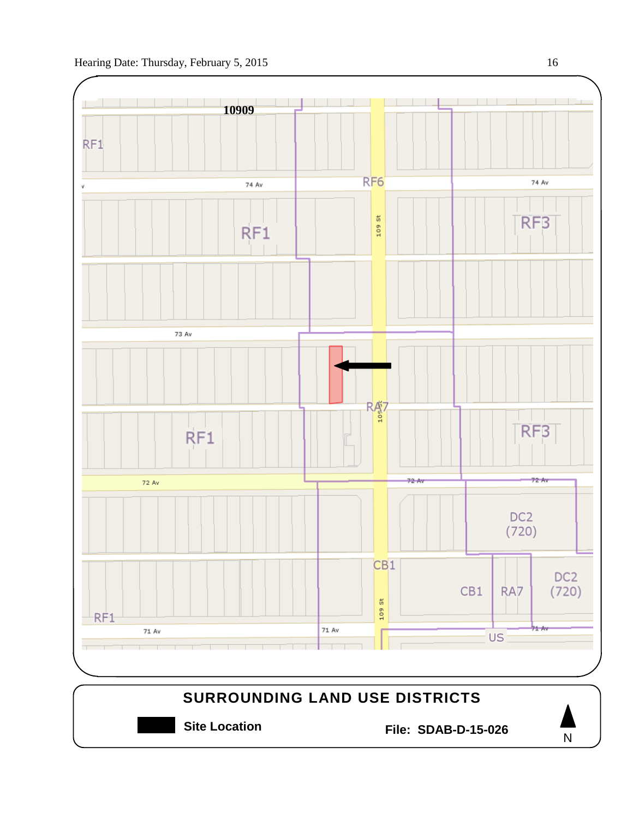

N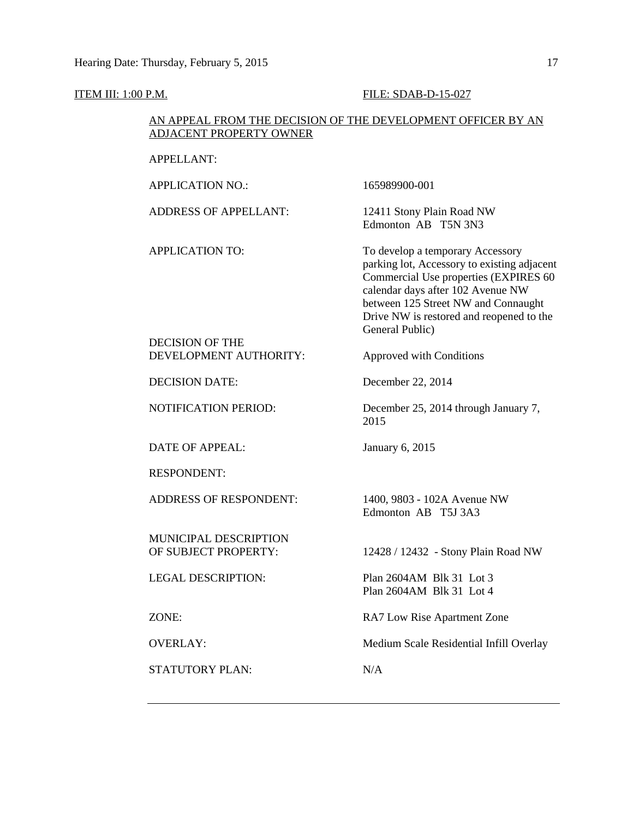## **ITEM III: 1:00 P.M. FILE: SDAB-D-15-027**

## AN APPEAL FROM THE DECISION OF THE DEVELOPMENT OFFICER BY AN ADJACENT PROPERTY OWNER

| <b>APPELLANT:</b>             |                                                                                                                                                                                                                                                                     |
|-------------------------------|---------------------------------------------------------------------------------------------------------------------------------------------------------------------------------------------------------------------------------------------------------------------|
| <b>APPLICATION NO.:</b>       | 165989900-001                                                                                                                                                                                                                                                       |
| <b>ADDRESS OF APPELLANT:</b>  | 12411 Stony Plain Road NW<br>Edmonton AB T5N 3N3                                                                                                                                                                                                                    |
| <b>APPLICATION TO:</b>        | To develop a temporary Accessory<br>parking lot, Accessory to existing adjacent<br>Commercial Use properties (EXPIRES 60<br>calendar days after 102 Avenue NW<br>between 125 Street NW and Connaught<br>Drive NW is restored and reopened to the<br>General Public) |
| <b>DECISION OF THE</b>        |                                                                                                                                                                                                                                                                     |
| DEVELOPMENT AUTHORITY:        | Approved with Conditions                                                                                                                                                                                                                                            |
| <b>DECISION DATE:</b>         | December 22, 2014                                                                                                                                                                                                                                                   |
| NOTIFICATION PERIOD:          | December 25, 2014 through January 7,<br>2015                                                                                                                                                                                                                        |
| DATE OF APPEAL:               | January 6, 2015                                                                                                                                                                                                                                                     |
| <b>RESPONDENT:</b>            |                                                                                                                                                                                                                                                                     |
| <b>ADDRESS OF RESPONDENT:</b> | 1400, 9803 - 102A Avenue NW<br>Edmonton AB T5J 3A3                                                                                                                                                                                                                  |
| MUNICIPAL DESCRIPTION         |                                                                                                                                                                                                                                                                     |
| OF SUBJECT PROPERTY:          | 12428 / 12432 - Stony Plain Road NW                                                                                                                                                                                                                                 |
| <b>LEGAL DESCRIPTION:</b>     | Plan 2604AM Blk 31 Lot 3<br>Plan 2604 AM Blk 31 Lot 4                                                                                                                                                                                                               |
| ZONE:                         | RA7 Low Rise Apartment Zone                                                                                                                                                                                                                                         |
| <b>OVERLAY:</b>               | Medium Scale Residential Infill Overlay                                                                                                                                                                                                                             |
| STATUTORY PLAN:               | N/A                                                                                                                                                                                                                                                                 |
|                               |                                                                                                                                                                                                                                                                     |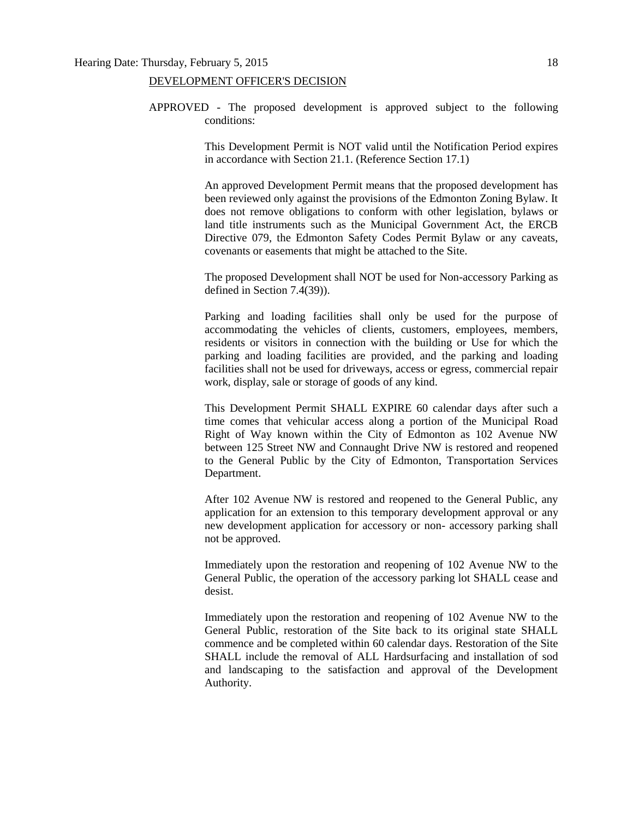## DEVELOPMENT OFFICER'S DECISION

APPROVED - The proposed development is approved subject to the following conditions:

> This Development Permit is NOT valid until the Notification Period expires in accordance with Section 21.1. (Reference Section 17.1)

> An approved Development Permit means that the proposed development has been reviewed only against the provisions of the Edmonton Zoning Bylaw. It does not remove obligations to conform with other legislation, bylaws or land title instruments such as the Municipal Government Act, the ERCB Directive 079, the Edmonton Safety Codes Permit Bylaw or any caveats, covenants or easements that might be attached to the Site.

> The proposed Development shall NOT be used for Non-accessory Parking as defined in Section 7.4(39)).

> Parking and loading facilities shall only be used for the purpose of accommodating the vehicles of clients, customers, employees, members, residents or visitors in connection with the building or Use for which the parking and loading facilities are provided, and the parking and loading facilities shall not be used for driveways, access or egress, commercial repair work, display, sale or storage of goods of any kind.

> This Development Permit SHALL EXPIRE 60 calendar days after such a time comes that vehicular access along a portion of the Municipal Road Right of Way known within the City of Edmonton as 102 Avenue NW between 125 Street NW and Connaught Drive NW is restored and reopened to the General Public by the City of Edmonton, Transportation Services Department.

> After 102 Avenue NW is restored and reopened to the General Public, any application for an extension to this temporary development approval or any new development application for accessory or non- accessory parking shall not be approved.

> Immediately upon the restoration and reopening of 102 Avenue NW to the General Public, the operation of the accessory parking lot SHALL cease and desist.

> Immediately upon the restoration and reopening of 102 Avenue NW to the General Public, restoration of the Site back to its original state SHALL commence and be completed within 60 calendar days. Restoration of the Site SHALL include the removal of ALL Hardsurfacing and installation of sod and landscaping to the satisfaction and approval of the Development Authority.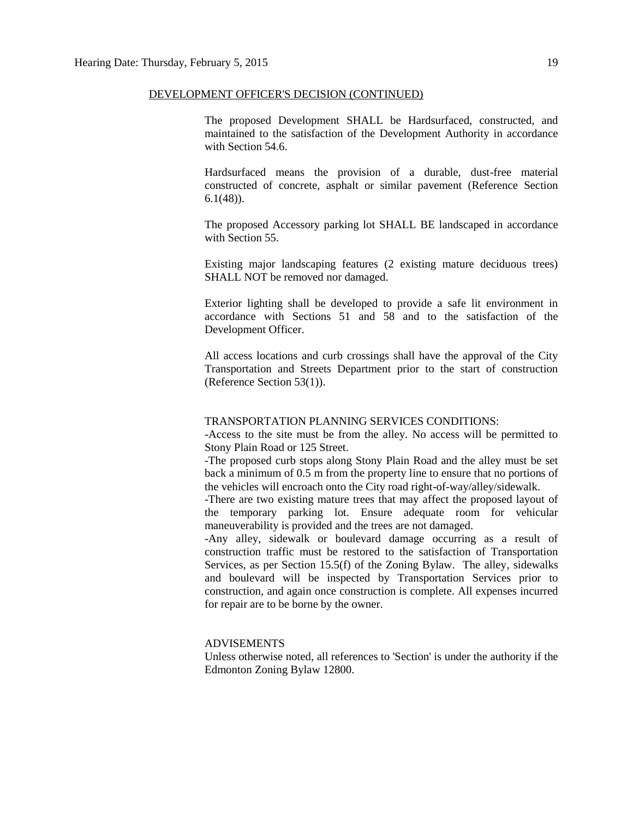## DEVELOPMENT OFFICER'S DECISION (CONTINUED)

The proposed Development SHALL be Hardsurfaced, constructed, and maintained to the satisfaction of the Development Authority in accordance with Section 54.6.

Hardsurfaced means the provision of a durable, dust-free material constructed of concrete, asphalt or similar pavement (Reference Section 6.1(48)).

The proposed Accessory parking lot SHALL BE landscaped in accordance with Section 55.

Existing major landscaping features (2 existing mature deciduous trees) SHALL NOT be removed nor damaged.

Exterior lighting shall be developed to provide a safe lit environment in accordance with Sections 51 and 58 and to the satisfaction of the Development Officer.

All access locations and curb crossings shall have the approval of the City Transportation and Streets Department prior to the start of construction (Reference Section 53(1)).

## TRANSPORTATION PLANNING SERVICES CONDITIONS:

-Access to the site must be from the alley. No access will be permitted to Stony Plain Road or 125 Street.

-The proposed curb stops along Stony Plain Road and the alley must be set back a minimum of 0.5 m from the property line to ensure that no portions of the vehicles will encroach onto the City road right-of-way/alley/sidewalk.

-There are two existing mature trees that may affect the proposed layout of the temporary parking lot. Ensure adequate room for vehicular maneuverability is provided and the trees are not damaged.

-Any alley, sidewalk or boulevard damage occurring as a result of construction traffic must be restored to the satisfaction of Transportation Services, as per Section 15.5(f) of the Zoning Bylaw. The alley, sidewalks and boulevard will be inspected by Transportation Services prior to construction, and again once construction is complete. All expenses incurred for repair are to be borne by the owner.

## ADVISEMENTS

Unless otherwise noted, all references to 'Section' is under the authority if the Edmonton Zoning Bylaw 12800.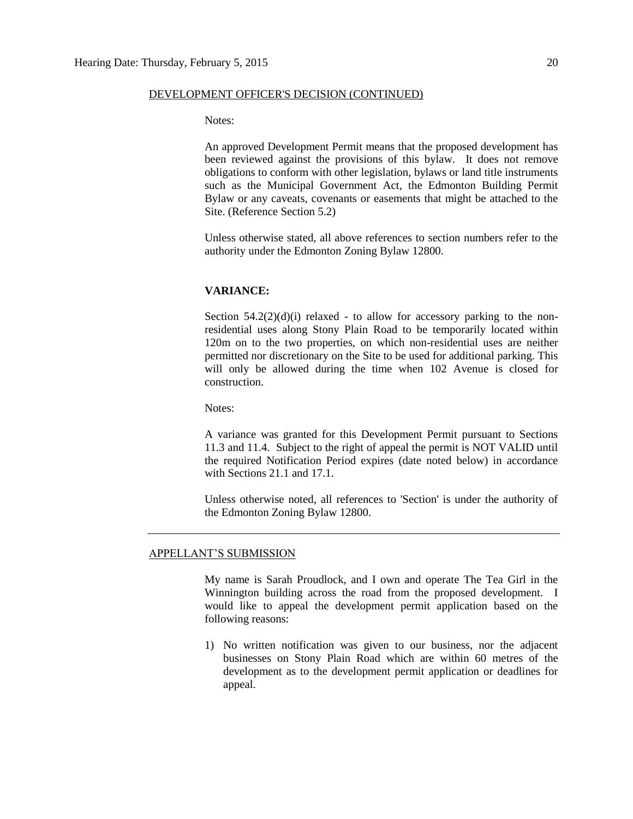## DEVELOPMENT OFFICER'S DECISION (CONTINUED)

Notes:

An approved Development Permit means that the proposed development has been reviewed against the provisions of this bylaw. It does not remove obligations to conform with other legislation, bylaws or land title instruments such as the Municipal Government Act, the Edmonton Building Permit Bylaw or any caveats, covenants or easements that might be attached to the Site. (Reference Section 5.2)

Unless otherwise stated, all above references to section numbers refer to the authority under the Edmonton Zoning Bylaw 12800.

## **VARIANCE:**

Section  $54.2(2)(d)(i)$  relaxed - to allow for accessory parking to the nonresidential uses along Stony Plain Road to be temporarily located within 120m on to the two properties, on which non-residential uses are neither permitted nor discretionary on the Site to be used for additional parking. This will only be allowed during the time when 102 Avenue is closed for construction.

Notes:

A variance was granted for this Development Permit pursuant to Sections 11.3 and 11.4. Subject to the right of appeal the permit is NOT VALID until the required Notification Period expires (date noted below) in accordance with Sections 21.1 and 17.1.

Unless otherwise noted, all references to 'Section' is under the authority of the Edmonton Zoning Bylaw 12800.

## APPELLANT'S SUBMISSION

My name is Sarah Proudlock, and I own and operate The Tea Girl in the Winnington building across the road from the proposed development. I would like to appeal the development permit application based on the following reasons:

1) No written notification was given to our business, nor the adjacent businesses on Stony Plain Road which are within 60 metres of the development as to the development permit application or deadlines for appeal.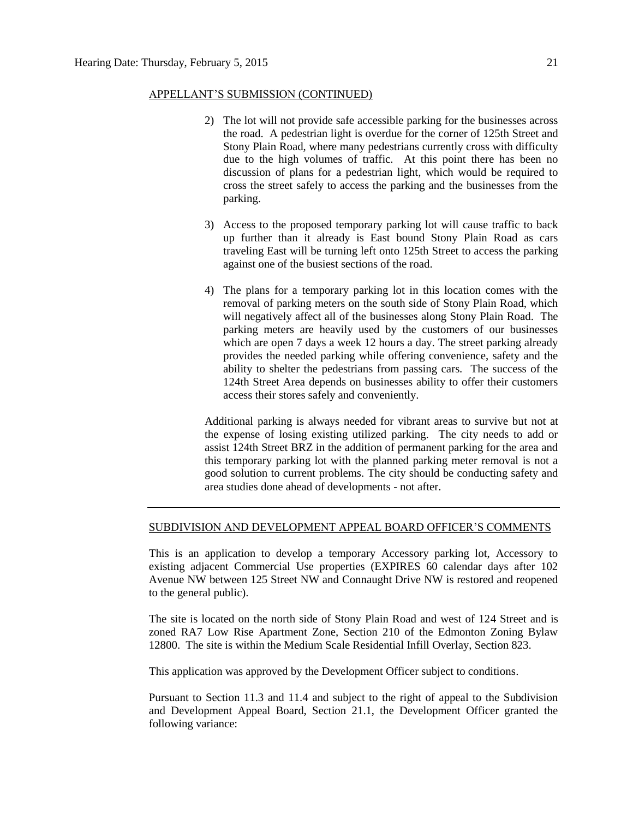## APPELLANT'S SUBMISSION (CONTINUED)

- 2) The lot will not provide safe accessible parking for the businesses across the road. A pedestrian light is overdue for the corner of 125th Street and Stony Plain Road, where many pedestrians currently cross with difficulty due to the high volumes of traffic. At this point there has been no discussion of plans for a pedestrian light, which would be required to cross the street safely to access the parking and the businesses from the parking.
- 3) Access to the proposed temporary parking lot will cause traffic to back up further than it already is East bound Stony Plain Road as cars traveling East will be turning left onto 125th Street to access the parking against one of the busiest sections of the road.
- 4) The plans for a temporary parking lot in this location comes with the removal of parking meters on the south side of Stony Plain Road, which will negatively affect all of the businesses along Stony Plain Road. The parking meters are heavily used by the customers of our businesses which are open 7 days a week 12 hours a day. The street parking already provides the needed parking while offering convenience, safety and the ability to shelter the pedestrians from passing cars. The success of the 124th Street Area depends on businesses ability to offer their customers access their stores safely and conveniently.

Additional parking is always needed for vibrant areas to survive but not at the expense of losing existing utilized parking. The city needs to add or assist 124th Street BRZ in the addition of permanent parking for the area and this temporary parking lot with the planned parking meter removal is not a good solution to current problems. The city should be conducting safety and area studies done ahead of developments - not after.

## SUBDIVISION AND DEVELOPMENT APPEAL BOARD OFFICER'S COMMENTS

This is an application to develop a temporary Accessory parking lot, Accessory to existing adjacent Commercial Use properties (EXPIRES 60 calendar days after 102 Avenue NW between 125 Street NW and Connaught Drive NW is restored and reopened to the general public).

The site is located on the north side of Stony Plain Road and west of 124 Street and is zoned RA7 Low Rise Apartment Zone, Section 210 of the Edmonton Zoning Bylaw 12800. The site is within the Medium Scale Residential Infill Overlay, Section 823.

This application was approved by the Development Officer subject to conditions.

Pursuant to Section 11.3 and 11.4 and subject to the right of appeal to the Subdivision and Development Appeal Board, Section 21.1, the Development Officer granted the following variance: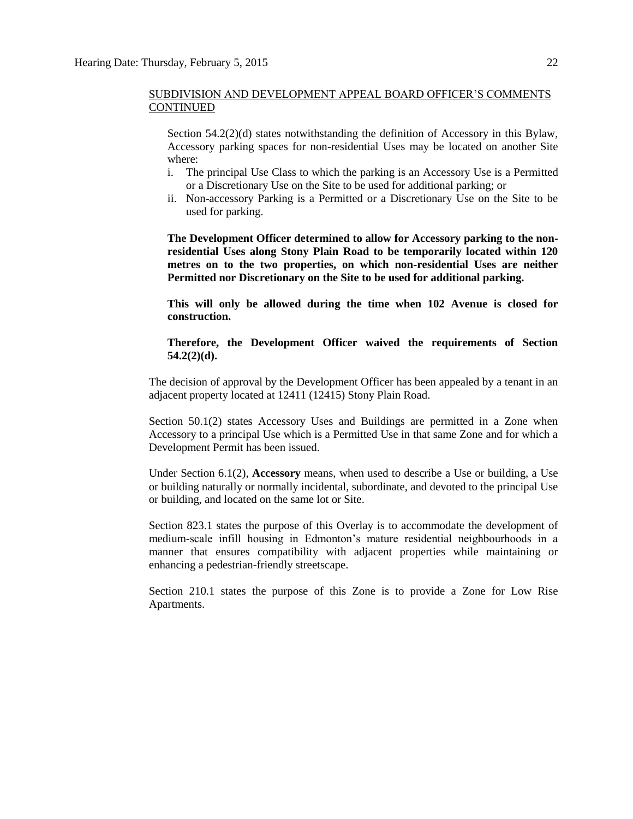Section  $54.2(2)(d)$  states notwithstanding the definition of Accessory in this Bylaw, Accessory parking spaces for non-residential Uses may be located on another Site where:

- i. The principal Use Class to which the parking is an Accessory Use is a Permitted or a Discretionary Use on the Site to be used for additional parking; or
- ii. Non-accessory Parking is a Permitted or a Discretionary Use on the Site to be used for parking.

**The Development Officer determined to allow for Accessory parking to the nonresidential Uses along Stony Plain Road to be temporarily located within 120 metres on to the two properties, on which non-residential Uses are neither Permitted nor Discretionary on the Site to be used for additional parking.** 

**This will only be allowed during the time when 102 Avenue is closed for construction.** 

## **Therefore, the Development Officer waived the requirements of Section 54.2(2)(d).**

The decision of approval by the Development Officer has been appealed by a tenant in an adjacent property located at 12411 (12415) Stony Plain Road.

Section 50.1(2) states Accessory Uses and Buildings are permitted in a Zone when Accessory to a principal Use which is a Permitted Use in that same Zone and for which a Development Permit has been issued.

Under Section 6.1(2), **Accessory** means, when used to describe a Use or building, a Use or building naturally or normally incidental, subordinate, and devoted to the principal Use or building, and located on the same lot or Site.

Section 823.1 states the purpose of this Overlay is to accommodate the development of medium-scale infill housing in Edmonton's mature residential neighbourhoods in a manner that ensures compatibility with adjacent properties while maintaining or enhancing a pedestrian-friendly streetscape.

Section 210.1 states the purpose of this Zone is to provide a Zone for Low Rise Apartments.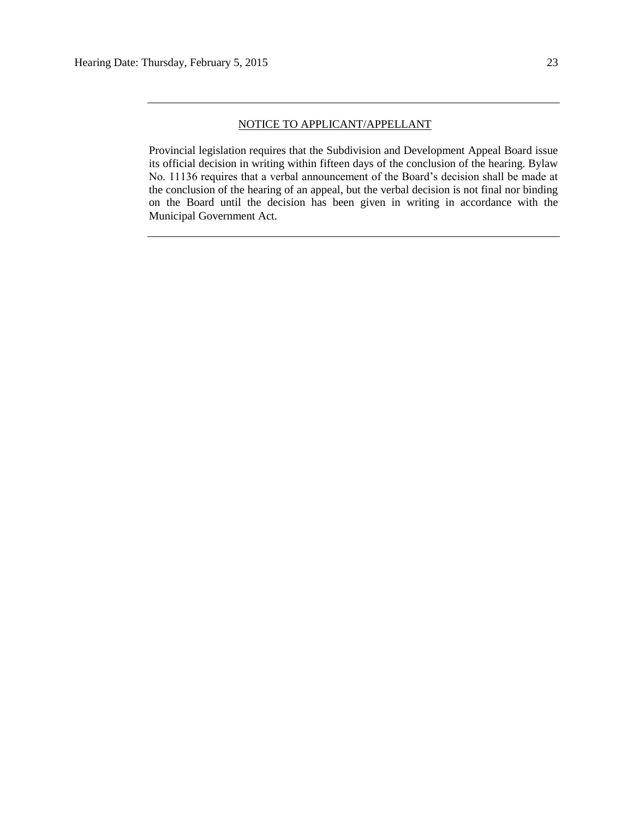## NOTICE TO APPLICANT/APPELLANT

Provincial legislation requires that the Subdivision and Development Appeal Board issue its official decision in writing within fifteen days of the conclusion of the hearing. Bylaw No. 11136 requires that a verbal announcement of the Board's decision shall be made at the conclusion of the hearing of an appeal, but the verbal decision is not final nor binding on the Board until the decision has been given in writing in accordance with the Municipal Government Act.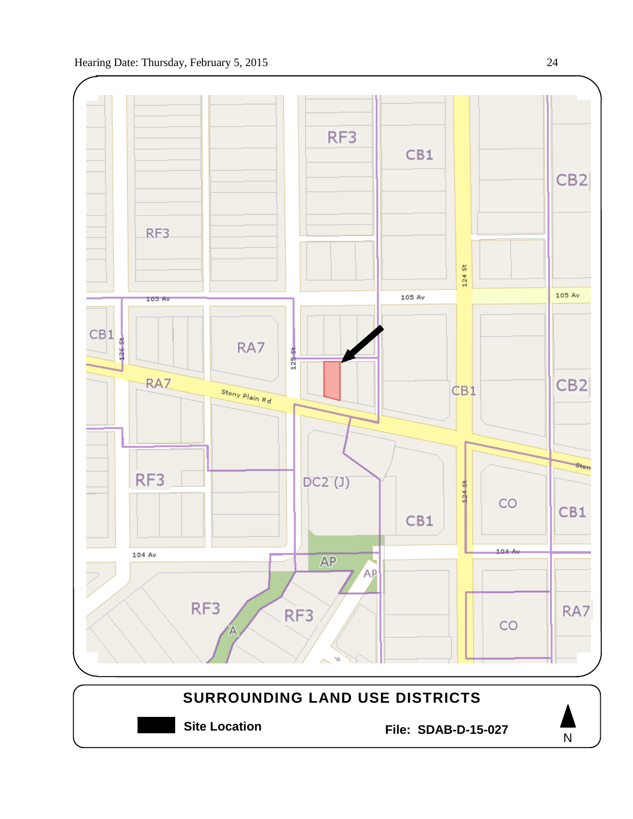

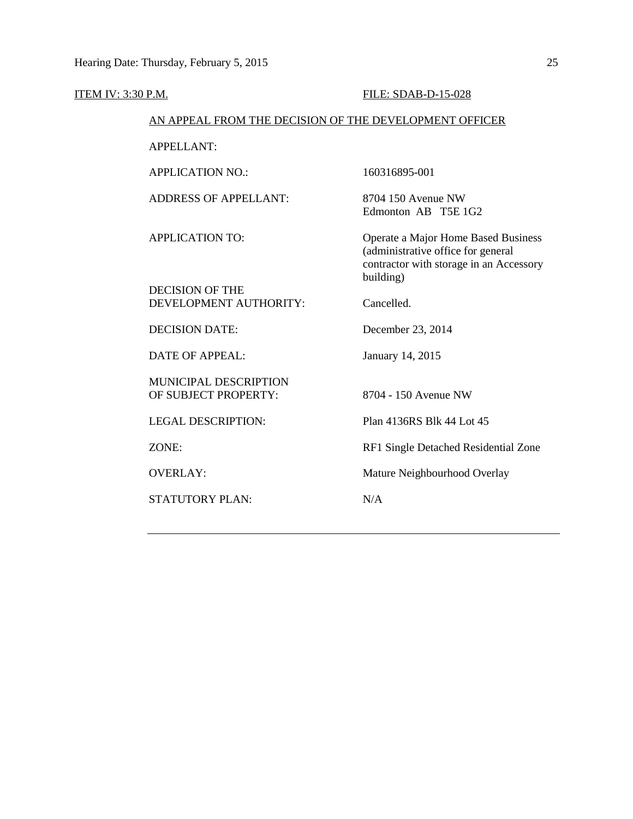| <b>ITEM IV: 3:30 P.M.</b> |                                                        | FILE: SDAB-D-15-028                                                                                                               |
|---------------------------|--------------------------------------------------------|-----------------------------------------------------------------------------------------------------------------------------------|
|                           | AN APPEAL FROM THE DECISION OF THE DEVELOPMENT OFFICER |                                                                                                                                   |
|                           | <b>APPELLANT:</b>                                      |                                                                                                                                   |
|                           | <b>APPLICATION NO.:</b>                                | 160316895-001                                                                                                                     |
|                           | <b>ADDRESS OF APPELLANT:</b>                           | 8704 150 Avenue NW<br>Edmonton AB T5E 1G2                                                                                         |
|                           | <b>APPLICATION TO:</b>                                 | Operate a Major Home Based Business<br>(administrative office for general<br>contractor with storage in an Accessory<br>building) |
|                           | <b>DECISION OF THE</b><br>DEVELOPMENT AUTHORITY:       | Cancelled.                                                                                                                        |
|                           | <b>DECISION DATE:</b>                                  | December 23, 2014                                                                                                                 |
|                           | <b>DATE OF APPEAL:</b>                                 | January 14, 2015                                                                                                                  |
|                           | <b>MUNICIPAL DESCRIPTION</b><br>OF SUBJECT PROPERTY:   | 8704 - 150 Avenue NW                                                                                                              |
|                           | <b>LEGAL DESCRIPTION:</b>                              | Plan 4136RS Blk 44 Lot 45                                                                                                         |
| ZONE:                     |                                                        | RF1 Single Detached Residential Zone                                                                                              |
| <b>OVERLAY:</b>           |                                                        | Mature Neighbourhood Overlay                                                                                                      |
|                           | <b>STATUTORY PLAN:</b>                                 | N/A                                                                                                                               |
|                           |                                                        |                                                                                                                                   |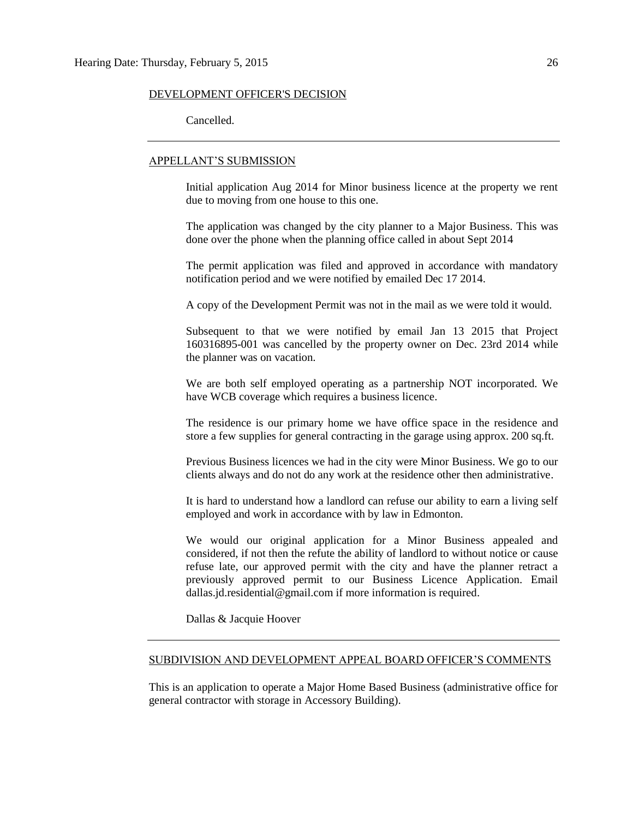### DEVELOPMENT OFFICER'S DECISION

Cancelled.

## APPELLANT'S SUBMISSION

Initial application Aug 2014 for Minor business licence at the property we rent due to moving from one house to this one.

The application was changed by the city planner to a Major Business. This was done over the phone when the planning office called in about Sept 2014

The permit application was filed and approved in accordance with mandatory notification period and we were notified by emailed Dec 17 2014.

A copy of the Development Permit was not in the mail as we were told it would.

Subsequent to that we were notified by email Jan 13 2015 that Project 160316895-001 was cancelled by the property owner on Dec. 23rd 2014 while the planner was on vacation.

We are both self employed operating as a partnership NOT incorporated. We have WCB coverage which requires a business licence.

The residence is our primary home we have office space in the residence and store a few supplies for general contracting in the garage using approx. 200 sq.ft.

Previous Business licences we had in the city were Minor Business. We go to our clients always and do not do any work at the residence other then administrative.

It is hard to understand how a landlord can refuse our ability to earn a living self employed and work in accordance with by law in Edmonton.

We would our original application for a Minor Business appealed and considered, if not then the refute the ability of landlord to without notice or cause refuse late, our approved permit with the city and have the planner retract a previously approved permit to our Business Licence Application. Email dallas.jd.residential@gmail.com if more information is required.

Dallas & Jacquie Hoover

## SUBDIVISION AND DEVELOPMENT APPEAL BOARD OFFICER'S COMMENTS

This is an application to operate a Major Home Based Business (administrative office for general contractor with storage in Accessory Building).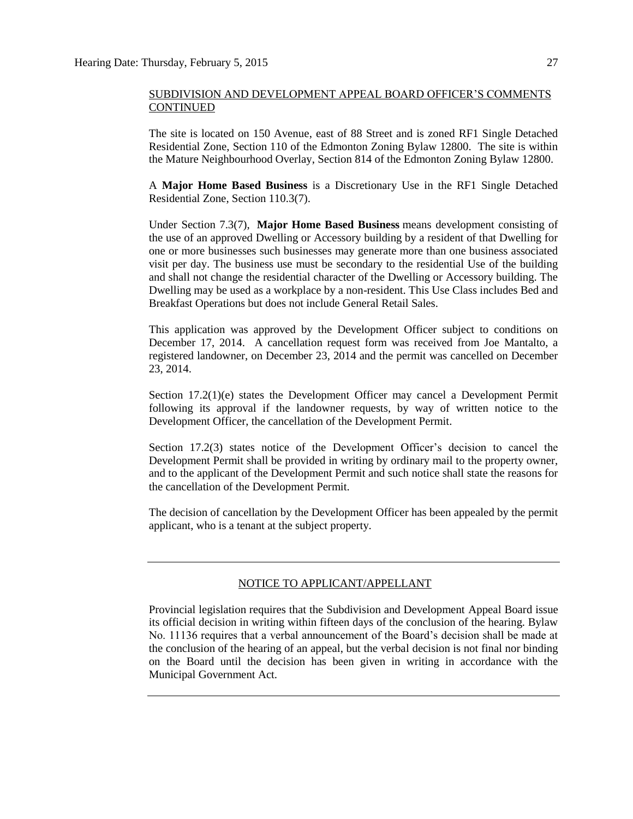The site is located on 150 Avenue, east of 88 Street and is zoned RF1 Single Detached Residential Zone, Section 110 of the Edmonton Zoning Bylaw 12800. The site is within the Mature Neighbourhood Overlay, Section 814 of the Edmonton Zoning Bylaw 12800.

A **Major Home Based Business** is a Discretionary Use in the RF1 Single Detached Residential Zone, Section 110.3(7).

Under Section 7.3(7), **Major Home Based Business** means development consisting of the use of an approved Dwelling or Accessory building by a resident of that Dwelling for one or more businesses such businesses may generate more than one business associated visit per day. The business use must be secondary to the residential Use of the building and shall not change the residential character of the Dwelling or Accessory building. The Dwelling may be used as a workplace by a non-resident. This Use Class includes Bed and Breakfast Operations but does not include General Retail Sales.

This application was approved by the Development Officer subject to conditions on December 17, 2014. A cancellation request form was received from Joe Mantalto, a registered landowner, on December 23, 2014 and the permit was cancelled on December 23, 2014.

Section 17.2(1)(e) states the Development Officer may cancel a Development Permit following its approval if the landowner requests, by way of written notice to the Development Officer, the cancellation of the Development Permit.

Section 17.2(3) states notice of the Development Officer's decision to cancel the Development Permit shall be provided in writing by ordinary mail to the property owner, and to the applicant of the Development Permit and such notice shall state the reasons for the cancellation of the Development Permit.

The decision of cancellation by the Development Officer has been appealed by the permit applicant, who is a tenant at the subject property.

## NOTICE TO APPLICANT/APPELLANT

Provincial legislation requires that the Subdivision and Development Appeal Board issue its official decision in writing within fifteen days of the conclusion of the hearing. Bylaw No. 11136 requires that a verbal announcement of the Board's decision shall be made at the conclusion of the hearing of an appeal, but the verbal decision is not final nor binding on the Board until the decision has been given in writing in accordance with the Municipal Government Act.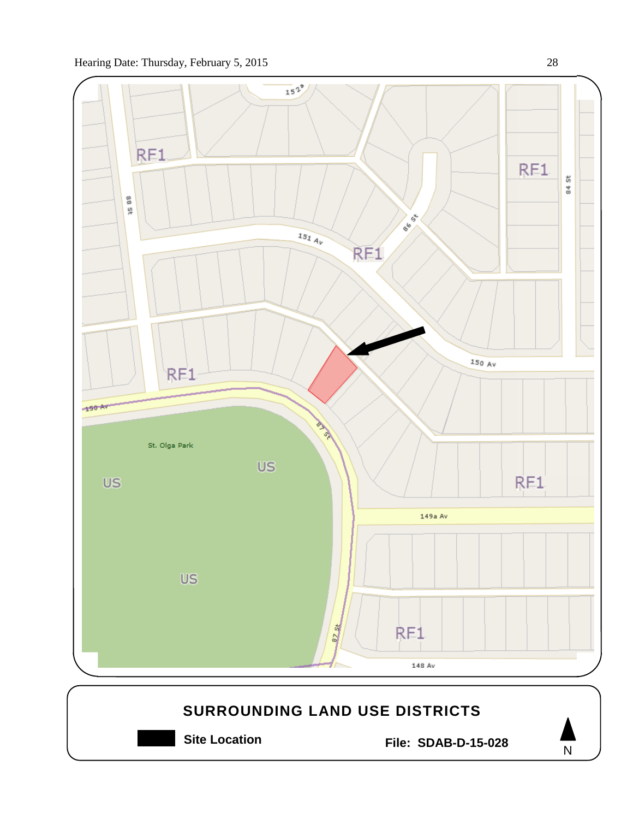